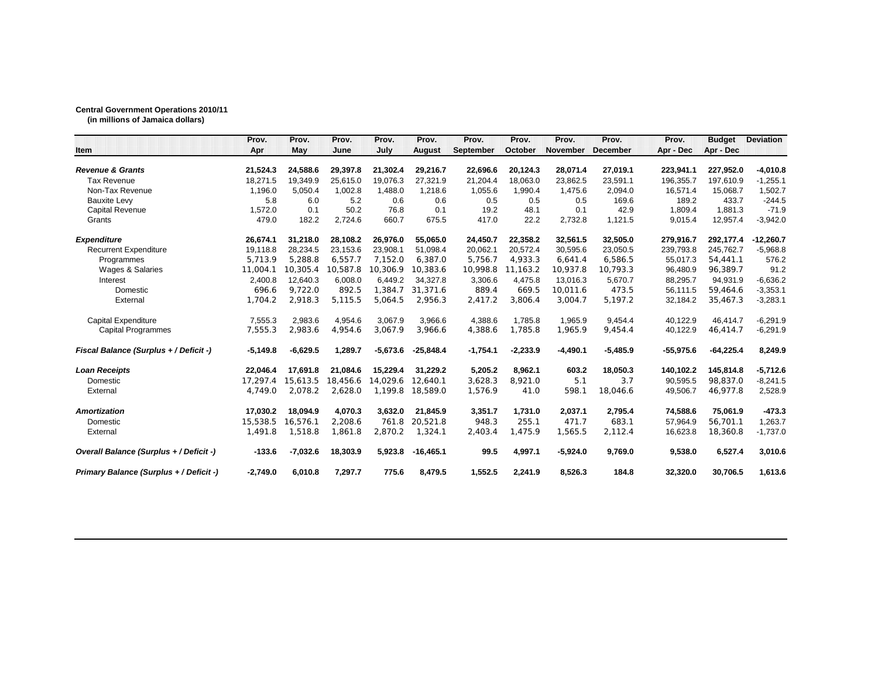## **Central Government Operations 2010/11**

**(in millions of Jamaica dollars)**

|                                         | Prov.      | Prov.      | Prov.    | Prov.      | Prov.         | Prov.      | Prov.      | Prov.           | Prov.           | Prov.       | <b>Budget</b> | <b>Deviation</b> |
|-----------------------------------------|------------|------------|----------|------------|---------------|------------|------------|-----------------|-----------------|-------------|---------------|------------------|
| <b>Item</b>                             | Apr        | May        | June     | July       | <b>August</b> | September  | October    | <b>November</b> | <b>December</b> | Apr - Dec   | Apr - Dec     |                  |
| <b>Revenue &amp; Grants</b>             | 21,524.3   | 24,588.6   | 29,397.8 | 21,302.4   | 29,216.7      | 22,696.6   | 20,124.3   | 28,071.4        | 27,019.1        | 223,941.1   | 227,952.0     | $-4,010.8$       |
| <b>Tax Revenue</b>                      | 18,271.5   | 19.349.9   | 25,615.0 | 19,076.3   | 27,321.9      | 21,204.4   | 18.063.0   | 23.862.5        | 23,591.1        | 196,355.7   | 197.610.9     | $-1,255.1$       |
| Non-Tax Revenue                         | 1.196.0    | 5.050.4    | 1.002.8  | 1.488.0    | 1.218.6       | 1.055.6    | 1.990.4    | 1.475.6         | 2,094.0         | 16.571.4    | 15.068.7      | 1,502.7          |
| <b>Bauxite Levy</b>                     | 5.8        | 6.0        | 5.2      | 0.6        | 0.6           | 0.5        | 0.5        | 0.5             | 169.6           | 189.2       | 433.7         | $-244.5$         |
| <b>Capital Revenue</b>                  | 1,572.0    | 0.1        | 50.2     | 76.8       | 0.1           | 19.2       | 48.1       | 0.1             | 42.9            | 1,809.4     | 1,881.3       | $-71.9$          |
| Grants                                  | 479.0      | 182.2      | 2,724.6  | 660.7      | 675.5         | 417.0      | 22.2       | 2,732.8         | 1,121.5         | 9,015.4     | 12,957.4      | $-3,942.0$       |
| <b>Expenditure</b>                      | 26,674.1   | 31,218.0   | 28,108.2 | 26,976.0   | 55,065.0      | 24,450.7   | 22,358.2   | 32,561.5        | 32,505.0        | 279,916.7   | 292,177.4     | $-12,260.7$      |
| <b>Recurrent Expenditure</b>            | 19.118.8   | 28.234.5   | 23,153.6 | 23,908.1   | 51.098.4      | 20,062.1   | 20.572.4   | 30.595.6        | 23,050.5        | 239.793.8   | 245.762.7     | $-5,968.8$       |
| Programmes                              | 5,713.9    | 5.288.8    | 6,557.7  | 7,152.0    | 6,387.0       | 5,756.7    | 4,933.3    | 6,641.4         | 6,586.5         | 55,017.3    | 54,441.1      | 576.2            |
| Wages & Salaries                        | 11.004.1   | 10.305.4   | 10.587.8 | 10,306.9   | 10,383.6      | 10,998.8   | 11.163.2   | 10.937.8        | 10,793.3        | 96,480.9    | 96.389.7      | 91.2             |
| Interest                                | 2,400.8    | 12,640.3   | 6,008.0  | 6,449.2    | 34.327.8      | 3,306.6    | 4.475.8    | 13.016.3        | 5,670.7         | 88,295.7    | 94,931.9      | $-6,636.2$       |
| Domestic                                | 696.6      | 9,722.0    | 892.5    | 1,384.7    | 31,371.6      | 889.4      | 669.5      | 10,011.6        | 473.5           | 56,111.5    | 59,464.6      | $-3,353.1$       |
| External                                | 1,704.2    | 2,918.3    | 5,115.5  | 5,064.5    | 2,956.3       | 2,417.2    | 3,806.4    | 3,004.7         | 5,197.2         | 32,184.2    | 35,467.3      | $-3,283.1$       |
| <b>Capital Expenditure</b>              | 7,555.3    | 2,983.6    | 4,954.6  | 3,067.9    | 3.966.6       | 4,388.6    | 1.785.8    | 1.965.9         | 9,454.4         | 40,122.9    | 46.414.7      | $-6,291.9$       |
| <b>Capital Programmes</b>               | 7,555.3    | 2.983.6    | 4,954.6  | 3,067.9    | 3,966.6       | 4,388.6    | 1,785.8    | 1.965.9         | 9,454.4         | 40,122.9    | 46,414.7      | $-6,291.9$       |
| Fiscal Balance (Surplus + / Deficit -)  | $-5,149.8$ | $-6,629.5$ | 1,289.7  | $-5,673.6$ | $-25,848.4$   | $-1,754.1$ | $-2,233.9$ | $-4,490.1$      | $-5,485.9$      | $-55,975.6$ | $-64,225.4$   | 8,249.9          |
| <b>Loan Receipts</b>                    | 22.046.4   | 17.691.8   | 21.084.6 | 15.229.4   | 31.229.2      | 5,205.2    | 8.962.1    | 603.2           | 18.050.3        | 140.102.2   | 145.814.8     | -5,712.6         |
| Domestic                                | 17,297.4   | 15,613.5   | 18,456.6 | 14.029.6   | 12,640.1      | 3,628.3    | 8,921.0    | 5.1             | 3.7             | 90,595.5    | 98,837.0      | $-8,241.5$       |
| External                                | 4,749.0    | 2,078.2    | 2,628.0  | 1,199.8    | 18,589.0      | 1,576.9    | 41.0       | 598.1           | 18,046.6        | 49,506.7    | 46,977.8      | 2,528.9          |
| <b>Amortization</b>                     | 17.030.2   | 18.094.9   | 4,070.3  | 3.632.0    | 21.845.9      | 3,351.7    | 1.731.0    | 2,037.1         | 2,795.4         | 74,588.6    | 75,061.9      | $-473.3$         |
| Domestic                                | 15.538.5   | 16.576.1   | 2.208.6  | 761.8      | 20.521.8      | 948.3      | 255.1      | 471.7           | 683.1           | 57.964.9    | 56.701.1      | 1,263.7          |
| External                                | 1,491.8    | 1,518.8    | 1.861.8  | 2,870.2    | 1,324.1       | 2,403.4    | 1,475.9    | 1,565.5         | 2,112.4         | 16,623.8    | 18,360.8      | $-1,737.0$       |
| Overall Balance (Surplus + / Deficit -) | $-133.6$   | $-7,032.6$ | 18,303.9 | 5,923.8    | $-16,465.1$   | 99.5       | 4,997.1    | $-5,924.0$      | 9,769.0         | 9,538.0     | 6,527.4       | 3,010.6          |
| Primary Balance (Surplus + / Deficit -) | $-2.749.0$ | 6.010.8    | 7,297.7  | 775.6      | 8.479.5       | 1.552.5    | 2,241.9    | 8.526.3         | 184.8           | 32.320.0    | 30.706.5      | 1,613.6          |